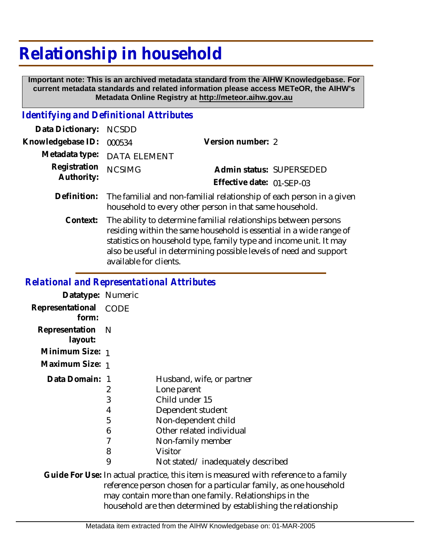## **Relationship in household**

 **Important note: This is an archived metadata standard from the AIHW Knowledgebase. For current metadata standards and related information please access METeOR, the AIHW's Metadata Online Registry at http://meteor.aihw.gov.au**

## *Identifying and Definitional Attributes*

| Data Dictionary: NCSDD            |                             |                           |  |
|-----------------------------------|-----------------------------|---------------------------|--|
| Knowledgebase ID: 000534          |                             | Version number: 2         |  |
|                                   | Metadata type: DATA ELEMENT |                           |  |
| Registration NCSIMG<br>Authority: |                             | Admin status: SUPERSEDED  |  |
|                                   |                             | Effective date: 01-SFP-03 |  |
|                                   |                             |                           |  |

- The familial and non-familial relationship of each person in a given household to every other person in that same household. **Definition:**
	- The ability to determine familial relationships between persons residing within the same household is essential in a wide range of statistics on household type, family type and income unit. It may also be useful in determining possible levels of need and support available for clients. **Context:**

## *Relational and Representational Attributes*

| Datatype: Numeric           |                                 |                                                                                                                                                                                                         |
|-----------------------------|---------------------------------|---------------------------------------------------------------------------------------------------------------------------------------------------------------------------------------------------------|
| Representational<br>form:   | CODE                            |                                                                                                                                                                                                         |
| Representation N<br>layout: |                                 |                                                                                                                                                                                                         |
| Minimum Size: 1             |                                 |                                                                                                                                                                                                         |
| Maximum Size: 1             |                                 |                                                                                                                                                                                                         |
| Data Domain:                | 2<br>3<br>4<br>5<br>6<br>8<br>9 | Husband, wife, or partner<br>Lone parent<br>Child under 15<br>Dependent student<br>Non-dependent child<br>Other related individual<br>Non-family member<br>Visitor<br>Not stated/inadequately described |
|                             |                                 | Guide For Use: In actual practice, this item is measured with referend                                                                                                                                  |

ce to a family reference person chosen for a particular family, as one household may contain more than one family. Relationships in the household are then determined by establishing the relationship